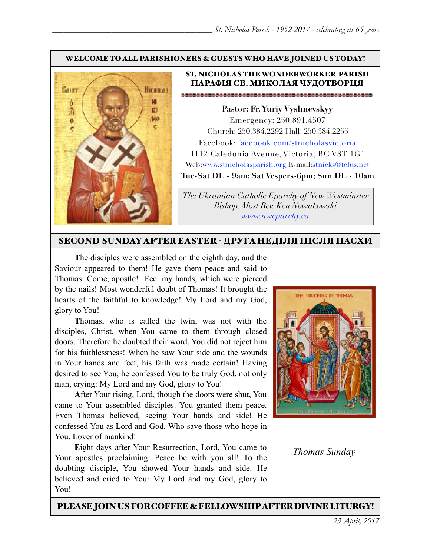#### WELCOME TO ALL PARISHIONERS & GUESTS WHO HAVE JOINED US TODAY!



#### ST. NICHOLAS THE WONDERWORKER PARISH ПАРАФІЯ СВ. МИКОЛАЯ ЧУДОТВОРЦЯ

**Pastor: Fr. Yuriy Vyshnevskyy** Emergency: 250.891.4507 Church: 250.384.2292 Hall: 250.384.2255 Facebook: facebook.com/stnicholasvictoria 1112 Caledonia Avenue, Victoria, BC V8T 1G1 Web[:www.stnicholasparish.org](http://www.stnicholasparish.org) E-mail:[stnicks@telus.net](mailto:stnicks@telus.net) **Tue-Sat DL - 9am; Sat Vespers-6pm; Sun DL - 10am**

*The Ukrainian Catholic Eparchy of New Westminster Bishop: Most Rev. Ken Nowakowski [www.nweparchy.ca](http://www.nweparchy.ca)*

#### SECOND SUNDAY AFTER EASTER - ДРУГАНЕДІЛЯ ПІСЛЯ ПАСХИ

**T**he disciples were assembled on the eighth day, and the Saviour appeared to them! He gave them peace and said to Thomas: Come, apostle! Feel my hands, which were pierced by the nails! Most wonderful doubt of Thomas! It brought the hearts of the faithful to knowledge! My Lord and my God, glory to You!

**T**homas, who is called the twin, was not with the disciples, Christ, when You came to them through closed doors. Therefore he doubted their word. You did not reject him for his faithlessness! When he saw Your side and the wounds in Your hands and feet, his faith was made certain! Having desired to see You, he confessed You to be truly God, not only man, crying: My Lord and my God, glory to You!

**A**fter Your rising, Lord, though the doors were shut, You came to Your assembled disciples. You granted them peace. Even Thomas believed, seeing Your hands and side! He confessed You as Lord and God, Who save those who hope in You, Lover of mankind!

**E**ight days after Your Resurrection, Lord, You came to Your apostles proclaiming: Peace be with you all! To the doubting disciple, You showed Your hands and side. He believed and cried to You: My Lord and my God, glory to You!



*Thomas Sunday*

#### PLEASE JOIN US FOR COFFEE & FELLOWSHIP AFTER DIVINE LITURGY!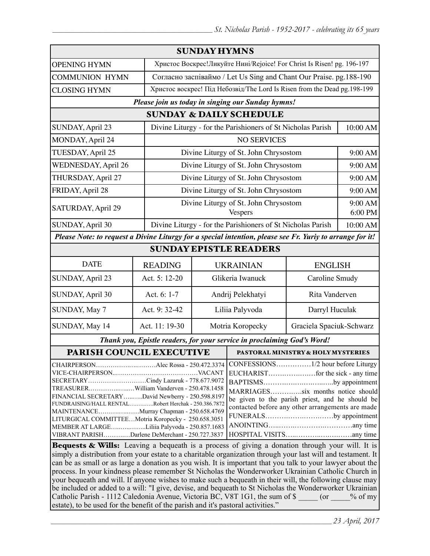|                                                                                 | <b>SUNDAY HYMNS</b>                                                       |                                                                                                                                                                                                                                                                                                                                                                                                                                               |                               |                                                                                                                                                                                                                                                                                                                                                                                                                                                                                                                                                                                     |  |
|---------------------------------------------------------------------------------|---------------------------------------------------------------------------|-----------------------------------------------------------------------------------------------------------------------------------------------------------------------------------------------------------------------------------------------------------------------------------------------------------------------------------------------------------------------------------------------------------------------------------------------|-------------------------------|-------------------------------------------------------------------------------------------------------------------------------------------------------------------------------------------------------------------------------------------------------------------------------------------------------------------------------------------------------------------------------------------------------------------------------------------------------------------------------------------------------------------------------------------------------------------------------------|--|
|                                                                                 |                                                                           |                                                                                                                                                                                                                                                                                                                                                                                                                                               |                               |                                                                                                                                                                                                                                                                                                                                                                                                                                                                                                                                                                                     |  |
|                                                                                 | Христос Воскрес!Ликуйте Нині/Rejoice! For Christ Is Risen! pg. 196-197    |                                                                                                                                                                                                                                                                                                                                                                                                                                               |                               |                                                                                                                                                                                                                                                                                                                                                                                                                                                                                                                                                                                     |  |
|                                                                                 | Согласно заспіваймо / Let Us Sing and Chant Our Praise. pg. 188-190       |                                                                                                                                                                                                                                                                                                                                                                                                                                               |                               |                                                                                                                                                                                                                                                                                                                                                                                                                                                                                                                                                                                     |  |
|                                                                                 | Христос воскрес! Під Небозвід/The Lord Is Risen from the Dead pg. 198-199 |                                                                                                                                                                                                                                                                                                                                                                                                                                               |                               |                                                                                                                                                                                                                                                                                                                                                                                                                                                                                                                                                                                     |  |
|                                                                                 |                                                                           |                                                                                                                                                                                                                                                                                                                                                                                                                                               |                               |                                                                                                                                                                                                                                                                                                                                                                                                                                                                                                                                                                                     |  |
| <b>SUNDAY &amp; DAILY SCHEDULE</b>                                              |                                                                           |                                                                                                                                                                                                                                                                                                                                                                                                                                               |                               |                                                                                                                                                                                                                                                                                                                                                                                                                                                                                                                                                                                     |  |
| Divine Liturgy - for the Parishioners of St Nicholas Parish<br>SUNDAY, April 23 |                                                                           |                                                                                                                                                                                                                                                                                                                                                                                                                                               |                               | 10:00 AM                                                                                                                                                                                                                                                                                                                                                                                                                                                                                                                                                                            |  |
|                                                                                 | <b>NO SERVICES</b>                                                        |                                                                                                                                                                                                                                                                                                                                                                                                                                               |                               |                                                                                                                                                                                                                                                                                                                                                                                                                                                                                                                                                                                     |  |
|                                                                                 | Divine Liturgy of St. John Chrysostom                                     |                                                                                                                                                                                                                                                                                                                                                                                                                                               |                               | 9:00 AM                                                                                                                                                                                                                                                                                                                                                                                                                                                                                                                                                                             |  |
|                                                                                 | Divine Liturgy of St. John Chrysostom                                     |                                                                                                                                                                                                                                                                                                                                                                                                                                               |                               | 9:00 AM                                                                                                                                                                                                                                                                                                                                                                                                                                                                                                                                                                             |  |
|                                                                                 | Divine Liturgy of St. John Chrysostom                                     |                                                                                                                                                                                                                                                                                                                                                                                                                                               |                               | 9:00 AM                                                                                                                                                                                                                                                                                                                                                                                                                                                                                                                                                                             |  |
|                                                                                 | Divine Liturgy of St. John Chrysostom                                     |                                                                                                                                                                                                                                                                                                                                                                                                                                               |                               | 9:00 AM                                                                                                                                                                                                                                                                                                                                                                                                                                                                                                                                                                             |  |
|                                                                                 | Divine Liturgy of St. John Chrysostom<br>Vespers                          |                                                                                                                                                                                                                                                                                                                                                                                                                                               |                               | 9:00 AM<br>6:00 PM                                                                                                                                                                                                                                                                                                                                                                                                                                                                                                                                                                  |  |
|                                                                                 | Divine Liturgy - for the Parishioners of St Nicholas Parish               |                                                                                                                                                                                                                                                                                                                                                                                                                                               |                               | 10:00 AM                                                                                                                                                                                                                                                                                                                                                                                                                                                                                                                                                                            |  |
|                                                                                 |                                                                           |                                                                                                                                                                                                                                                                                                                                                                                                                                               |                               |                                                                                                                                                                                                                                                                                                                                                                                                                                                                                                                                                                                     |  |
|                                                                                 |                                                                           |                                                                                                                                                                                                                                                                                                                                                                                                                                               |                               |                                                                                                                                                                                                                                                                                                                                                                                                                                                                                                                                                                                     |  |
| <b>READING</b>                                                                  | <b>UKRAINIAN</b>                                                          |                                                                                                                                                                                                                                                                                                                                                                                                                                               | <b>ENGLISH</b>                |                                                                                                                                                                                                                                                                                                                                                                                                                                                                                                                                                                                     |  |
| Act. 5: 12-20                                                                   | Glikeria Iwanuck                                                          |                                                                                                                                                                                                                                                                                                                                                                                                                                               |                               | Caroline Smudy                                                                                                                                                                                                                                                                                                                                                                                                                                                                                                                                                                      |  |
| Act. 6: 1-7                                                                     | Andrij Pelekhatyi                                                         |                                                                                                                                                                                                                                                                                                                                                                                                                                               | Rita Vanderven                |                                                                                                                                                                                                                                                                                                                                                                                                                                                                                                                                                                                     |  |
| Act. 9: 32-42                                                                   | Liliia Palyvoda                                                           |                                                                                                                                                                                                                                                                                                                                                                                                                                               | Darryl Huculak                |                                                                                                                                                                                                                                                                                                                                                                                                                                                                                                                                                                                     |  |
| Act. 11: 19-30                                                                  | Motria Koropecky                                                          |                                                                                                                                                                                                                                                                                                                                                                                                                                               |                               |                                                                                                                                                                                                                                                                                                                                                                                                                                                                                                                                                                                     |  |
|                                                                                 |                                                                           |                                                                                                                                                                                                                                                                                                                                                                                                                                               |                               |                                                                                                                                                                                                                                                                                                                                                                                                                                                                                                                                                                                     |  |
| PARISH COUNCIL EXECUTIVE                                                        |                                                                           | <b>PASTORAL MINISTRY &amp; HOLY MYSTERIES</b>                                                                                                                                                                                                                                                                                                                                                                                                 |                               |                                                                                                                                                                                                                                                                                                                                                                                                                                                                                                                                                                                     |  |
|                                                                                 |                                                                           |                                                                                                                                                                                                                                                                                                                                                                                                                                               |                               |                                                                                                                                                                                                                                                                                                                                                                                                                                                                                                                                                                                     |  |
|                                                                                 |                                                                           | CHAIRPERSONAlec Rossa - 250.472.3374<br>SECRETARYCindy Lazaruk - 778.677.9072<br>TREASURERWilliam Vanderven - 250.478.1458<br>FINANCIAL SECRETARYDavid Newberry - 250.598.8197<br>FUNDRAISING/HALL RENTALRobert Herchak - 250.386.7872<br>MAINTENANCEMurray Chapman - 250.658.4769<br>LITURGICAL COMMITTEEMotria Koropecky - 250.658.3051<br>MEMBER AT LARGELiliia Palyvoda - 250.857.1683<br>VIBRANT PARISHDarlene DeMerchant - 250.727.3837 | <b>SUNDAY EPISTLE READERS</b> | Please join us today in singing our Sunday hymns!<br>Please Note: to request a Divine Liturgy for a special intention, please see Fr. Yuriy to arrange for it!<br>Graciela Spaciuk-Schwarz<br>Thank you, Epistle readers, for your service in proclaiming God's Word!<br>BAPTISMSby appointment<br>MARRIAGESsix months notice should<br>be given to the parish priest, and he should be<br>contacted before any other arrangements are made<br>FUNERALSby appointment<br><b>Bequests &amp; Wills:</b> Leaving a bequeath is a process of giving a donation through your will. It is |  |

Bequests & Wills: Leaving a bequeath is a process of giving a donation through your will. It is simply a distribution from your estate to a charitable organization through your last will and testament. It can be as small or as large a donation as you wish. It is important that you talk to your lawyer about the process. In your kindness please remember St Nicholas the Wonderworker Ukrainian Catholic Church in your bequeath and will. If anyone wishes to make such a bequeath in their will, the following clause may be included or added to a will: "I give, devise, and bequeath to St Nicholas the Wonderworker Ukrainian Catholic Parish - 1112 Caledonia Avenue, Victoria BC, V8T 1G1, the sum of \$  $\qquad \qquad$  (or  $\qquad \qquad$  % of my estate), to be used for the benefit of the parish and it's pastoral activities."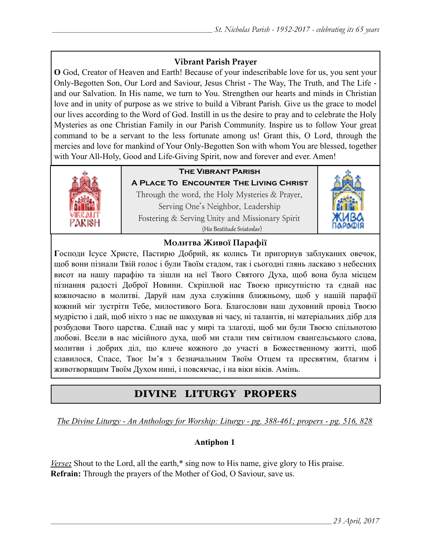## **Vibrant Parish Prayer**

**O** God, Creator of Heaven and Earth! Because of your indescribable love for us, you sent your Only-Begotten Son, Our Lord and Saviour, Jesus Christ - The Way, The Truth, and The Life and our Salvation. In His name, we turn to You. Strengthen our hearts and minds in Christian love and in unity of purpose as we strive to build a Vibrant Parish. Give us the grace to model our lives according to the Word of God. Instill in us the desire to pray and to celebrate the Holy Mysteries as one Christian Family in our Parish Community. Inspire us to follow Your great command to be a servant to the less fortunate among us! Grant this, O Lord, through the mercies and love for mankind of Your Only-Begotten Son with whom You are blessed, together with Your All-Holy, Good and Life-Giving Spirit, now and forever and ever. Amen!



## **The Vibrant Parish**

**A Place To Encounter The Living Christ** Through the word, the Holy Mysteries & Prayer, Serving One's Neighbor, Leadership Fostering & Serving Unity and Missionary Spirit (His Beatitude Sviatoslav)



### **Молитва Живої Парафії**

**Г**осподи Ісусе Христе, Пастирю Добрий, як колись Ти пригорнув заблуканих овечок, щоб вони пізнали Твій голос і були Твоїм стадом, так і сьогодні глянь ласкаво з небесних висот на нашу парафію та зішли на неї Твого Святого Духа, щоб вона була місцем пізнання радості Доброї Новини. Скріплюй нас Твоєю присутністю та єднай нас кожночасно в молитві. Даруй нам духа служіння ближньому, щоб у нашій парафії кожний міг зустріти Тебе, милостивого Бога. Благослови наш духовний провід Твоєю мудрістю і дай, щоб ніхто з нас не шкодував ні часу, ні талантів, ні матеріальних дібр для розбудови Твого царства. Єднай нас у мирі та злагоді, щоб ми були Твоєю спільнотою любові. Всели в нас місійного духа, щоб ми стали тим світилом євангельського слова, молитви і добрих діл, що кличе кожного до участі в Божественному житті, щоб славилося, Спасе, Твоє Ім'я з безначальним Твоїм Отцем та пресвятим, благим і животворящим Твоїм Духом нині, і повсякчас, і на віки віків. Амінь.

# DIVINE LITURGY PROPERS

*The Divine Liturgy - An Anthology for Worship: Liturgy - pg. 388-461; propers - pg. 516, 828*

### **Antiphon 1**

*Verse:* Shout to the Lord, all the earth,\* sing now to His name, give glory to His praise. **Refrain:** Through the prayers of the Mother of God, O Saviour, save us.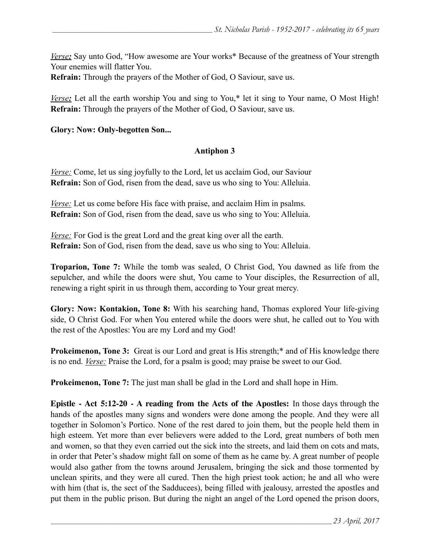*Verse:* Say unto God, "How awesome are Your works\* Because of the greatness of Your strength Your enemies will flatter You.

**Refrain:** Through the prayers of the Mother of God, O Saviour, save us.

*Verse*: Let all the earth worship You and sing to You,<sup>\*</sup> let it sing to Your name, O Most High! **Refrain:** Through the prayers of the Mother of God, O Saviour, save us.

#### **Glory: Now: Only-begotten Son...**

#### **Antiphon 3**

*Verse:* Come, let us sing joyfully to the Lord, let us acclaim God, our Saviour **Refrain:** Son of God, risen from the dead, save us who sing to You: Alleluia.

*Verse:* Let us come before His face with praise, and acclaim Him in psalms. **Refrain:** Son of God, risen from the dead, save us who sing to You: Alleluia.

*<u>Verse:</u>* For God is the great Lord and the great king over all the earth. **Refrain:** Son of God, risen from the dead, save us who sing to You: Alleluia.

**Troparion, Tone 7:** While the tomb was sealed, O Christ God, You dawned as life from the sepulcher, and while the doors were shut, You came to Your disciples, the Resurrection of all, renewing a right spirit in us through them, according to Your great mercy.

**Glory: Now: Kontakion, Tone 8:** With his searching hand, Thomas explored Your life-giving side, O Christ God. For when You entered while the doors were shut, he called out to You with the rest of the Apostles: You are my Lord and my God!

**Prokeimenon, Tone 3:** Great is our Lord and great is His strength;\* and of His knowledge there is no end. *Verse:* Praise the Lord, for a psalm is good; may praise be sweet to our God.

**Prokeimenon, Tone 7:** The just man shall be glad in the Lord and shall hope in Him.

**Epistle - Act 5:12-20 - A reading from the Acts of the Apostles:** In those days through the hands of the apostles many signs and wonders were done among the people. And they were all together in Solomon's Portico. None of the rest dared to join them, but the people held them in high esteem. Yet more than ever believers were added to the Lord, great numbers of both men and women, so that they even carried out the sick into the streets, and laid them on cots and mats, in order that Peter's shadow might fall on some of them as he came by. A great number of people would also gather from the towns around Jerusalem, bringing the sick and those tormented by unclean spirits, and they were all cured. Then the high priest took action; he and all who were with him (that is, the sect of the Sadducees), being filled with jealousy, arrested the apostles and put them in the public prison. But during the night an angel of the Lord opened the prison doors,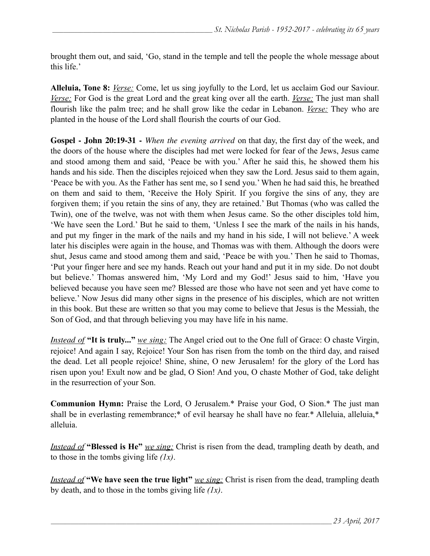brought them out, and said, 'Go, stand in the temple and tell the people the whole message about this life.'

**Alleluia, Tone 8:** *Verse:* Come, let us sing joyfully to the Lord, let us acclaim God our Saviour. *Verse:* For God is the great Lord and the great king over all the earth. *Verse:* The just man shall flourish like the palm tree; and he shall grow like the cedar in Lebanon. *Verse:* They who are planted in the house of the Lord shall flourish the courts of our God.

**Gospel - John 20:19-31 -** *When the evening arrived* on that day, the first day of the week, and the doors of the house where the disciples had met were locked for fear of the Jews, Jesus came and stood among them and said, 'Peace be with you.' After he said this, he showed them his hands and his side. Then the disciples rejoiced when they saw the Lord. Jesus said to them again, 'Peace be with you. As the Father has sent me, so I send you.' When he had said this, he breathed on them and said to them, 'Receive the Holy Spirit. If you forgive the sins of any, they are forgiven them; if you retain the sins of any, they are retained.' But Thomas (who was called the Twin), one of the twelve, was not with them when Jesus came. So the other disciples told him, 'We have seen the Lord.' But he said to them, 'Unless I see the mark of the nails in his hands, and put my finger in the mark of the nails and my hand in his side, I will not believe.' A week later his disciples were again in the house, and Thomas was with them. Although the doors were shut, Jesus came and stood among them and said, 'Peace be with you.' Then he said to Thomas, 'Put your finger here and see my hands. Reach out your hand and put it in my side. Do not doubt but believe.' Thomas answered him, 'My Lord and my God!' Jesus said to him, 'Have you believed because you have seen me? Blessed are those who have not seen and yet have come to believe.' Now Jesus did many other signs in the presence of his disciples, which are not written in this book. But these are written so that you may come to believe that Jesus is the Messiah, the Son of God, and that through believing you may have life in his name.

*Instead of* **"It is truly..."** *we sing:* The Angel cried out to the One full of Grace: O chaste Virgin, rejoice! And again I say, Rejoice! Your Son has risen from the tomb on the third day, and raised the dead. Let all people rejoice! Shine, shine, O new Jerusalem! for the glory of the Lord has risen upon you! Exult now and be glad, O Sion! And you, O chaste Mother of God, take delight in the resurrection of your Son.

**Communion Hymn:** Praise the Lord, O Jerusalem.\* Praise your God, O Sion.\* The just man shall be in everlasting remembrance;\* of evil hearsay he shall have no fear.\* Alleluia, alleluia,\* alleluia.

*Instead of* **"Blessed is He"** *we sing:* Christ is risen from the dead, trampling death by death, and to those in the tombs giving life *(1x)*.

*Instead of* **"We have seen the true light"** *we sing:* Christ is risen from the dead, trampling death by death, and to those in the tombs giving life *(1x)*.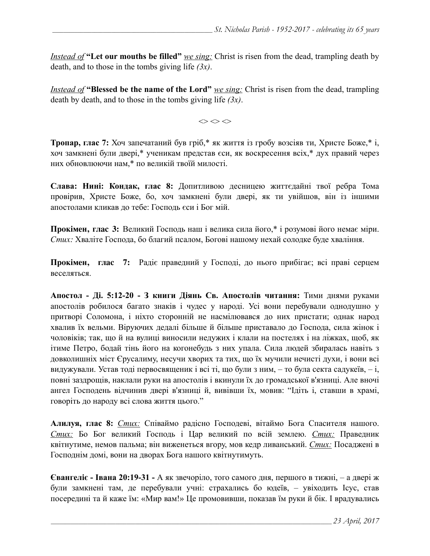*Instead of* **"Let our mouths be filled"** *we sing:* Christ is risen from the dead, trampling death by death, and to those in the tombs giving life *(3x)*.

*Instead of* **"Blessed be the name of the Lord"** *we sing:* Christ is risen from the dead, trampling death by death, and to those in the tombs giving life *(3x)*.

 $\Leftrightarrow$   $\Leftrightarrow$   $\Leftrightarrow$ 

**Тропар, глас 7:** Хоч запечатаний був гріб,\* як життя із гробу возсіяв ти, Христе Боже,\* і, хоч замкнені були двері,\* ученикам представ єси, як воскресення всіх,\* дух правий через них обновлюючи нам,\* по великій твоїй милості.

**Слава: Нині: Кондак, глас 8:** Допитливою десницею життєдайні твої ребра Тома провірив, Христе Боже, бо, хоч замкнені були двері, як ти увійшов, він із іншими апостолами кликав до тебе: Господь єси і Бог мій.

**Прокімен, глас 3:** Великий Господь наш і велика сила його,\* і розумові його немає міри. *Стих:* Хваліте Господа, бо благий псалом, Богові нашому нехай солодке буде хваління.

**Прокімен, глас 7:** Радіє праведний у Господі, до нього прибігає; всі праві серцем веселяться.

**Апостол - Ді. 5:12-20 - З книги Діянь Св. Апостолів читання:** Тими днями руками апостолів робилося багато знаків і чудес у народі. Усі вони перебували однодушно у притворі Соломона, і ніхто сторонній не насмілювався до них пристати; однак народ хвалив їх вельми. Віруючих дедалі більше й більше приставало до Господа, сила жінок і чоловіків; так, що й на вулиці виносили недужих і клали на постелях і на ліжках, щоб, як ітиме Петро, бодай тінь його на когонебудь з них упала. Сила людей збиралась навіть з довколишніх міст Єрусалиму, несучи хворих та тих, що їх мучили нечисті духи, і вони всі видужували. Устав тоді первосвященик і всі ті, що були з ним, – то була секта садукеїв, – і, повні заздрощів, наклали руки на апостолів і вкинули їх до громадської в'язниці. Але вночі ангел Господень відчинив двері в'язниці й, вивівши їх, мовив: "Ідіть і, ставши в храмі, говоріть до народу всі слова життя цього."

**Алилуя, глас 8:** *Стих:* Cпіваймо радісно Господеві, вітаймо Бога Спасителя нашого. *Стих:* Бо Бог великий Господь і Цар великий по всій землею. *Стих:* Праведник квітнутиме, немов пальма; він виженеться вгору, мов кедр ливанський. *Стих:* Посаджені в Господнім домі, вони на дворах Бога нашого квітнутимуть.

**Євангеліє - Івана 20:19-31 -** А як звечоріло, того самого дня, першого в тижні, – а двері ж були замкнені там, де перебували учні: страхались бо юдеїв, – увіходить Ісус, став посередині та й каже їм: «Мир вам!» Це промовивши, показав їм руки й бік. І врадувались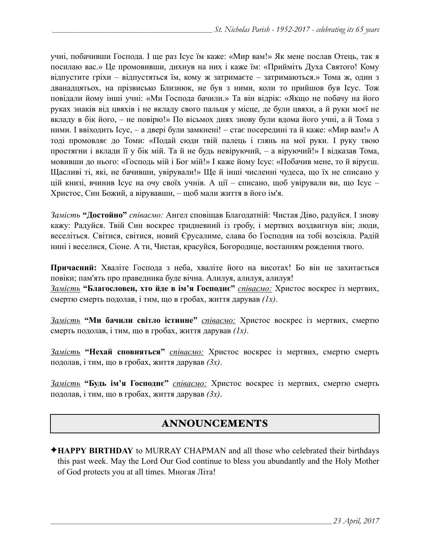учні, побачивши Господа. І ще раз Ісус їм каже: «Мир вам!» Як мене послав Отець, так я посилаю вас.» Це промовивши, дихнув на них і каже їм: «Прийміть Духа Святого! Кому відпустите гріхи – відпустяться їм, кому ж затримаєте – затримаються.» Тома ж, один з дванадцятьох, на прізвисько Близнюк, не був з ними, коли то прийшов був Ісус. Тож повідали йому інші учні: «Ми Господа бачили.» Та він відрік: «Якщо не побачу на його руках знаків від цвяхів і не вкладу свого пальця у місце, де були цвяхи, а й руки моєї не вкладу в бік його, – не повірю!» По вісьмох днях знову були вдома його учні, а й Тома з ними. І ввіходить Ісус, – а двері були замкнені! – стає посередині та й каже: «Мир вам!» А тоді промовляє до Томи: «Подай сюди твій палець і глянь на мої руки. І руку твою простягни і вклади її у бік мій. Та й не будь невіруючий, – а віруючий!» І відказав Тома, мовивши до нього: «Господь мій і Бог мій!» І каже йому Ісус: «Побачив мене, то й віруєш. Щасливі ті, які, не бачивши, увірували!» Ще й інші численні чудеса, що їх не списано у цій книзі, вчинив Ісус на очу своїх учнів. А ції – списано, щоб увірували ви, що Ісус – Христос, Син Божий, а вірувавши, – щоб мали життя в його ім'я.

*Замість* **"Достойно"** *співаємо:* Ангел сповіщав Благодатній: Чистая Діво, радуйся. І знову кажу: Радуйся. Твій Син воскрес тридневний із гробу, і мертвих воздвигнув він; люди, веселіться. Світися, світися, новий Єрусалиме, слава бо Господня на тобі возсіяла. Радій нині і веселися, Сіоне. А ти, Чистая, красуйся, Богородице, востанням рождення твого.

**Причасний:** Хваліте Господа з неба, хваліте його на висотах! Бо він не захитається повіки; пам'ять про праведника буде вічна. Алилуя, алилуя, алилуя!

*Замість* **"Благословен, хто йде в ім'я Господнє"** *співаємо:* Христос воскрес із мертвих, смертю смерть подолав, і тим, що в гробах, життя дарував *(1x)*.

*Замість* **"Ми бачили світло істинне"** *співаємо:* Христос воскрес із мертвих, смертю смерть подолав, і тим, що в гробах, життя дарував *(1x)*.

*Замість* **"Нехай сповняться"** *співаємо:* Христос воскрес із мертвих, смертю смерть подолав, і тим, що в гробах, життя дарував *(3x)*.

*Замість* **"Будь ім'я Господнє"** *співаємо:* Христос воскрес із мертвих, смертю смерть подолав, і тим, що в гробах, життя дарував *(3x)*.

## ANNOUNCEMENTS

✦**HAPPY BIRTHDAY** to MURRAY CHAPMAN and all those who celebrated their birthdays this past week. May the Lord Our God continue to bless you abundantly and the Holy Mother of God protects you at all times. Многая Літа!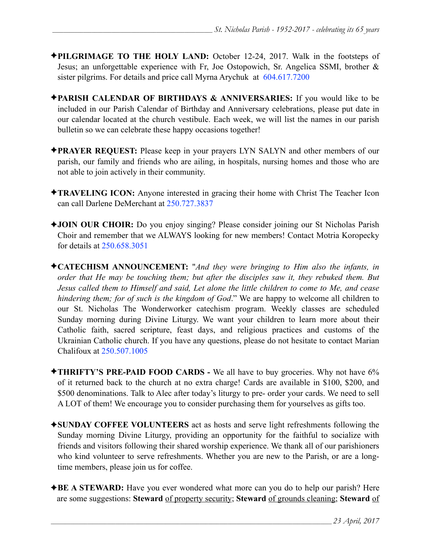- ✦**PILGRIMAGE TO THE HOLY LAND:** October 12-24, 2017. Walk in the footsteps of Jesus; an unforgettable experience with Fr, Joe Ostopowich, Sr. Angelica SSMI, brother & sister pilgrims. For details and price call Myrna Arychuk at 604.617.7200
- ✦**PARISH CALENDAR OF BIRTHDAYS & ANNIVERSARIES:** If you would like to be included in our Parish Calendar of Birthday and Anniversary celebrations, please put date in our calendar located at the church vestibule. Each week, we will list the names in our parish bulletin so we can celebrate these happy occasions together!
- ✦**PRAYER REQUEST:** Please keep in your prayers LYN SALYN and other members of our parish, our family and friends who are ailing, in hospitals, nursing homes and those who are not able to join actively in their community.
- ✦**TRAVELING ICON:** Anyone interested in gracing their home with Christ The Teacher Icon can call Darlene DeMerchant at 250.727.3837
- ✦**JOIN OUR CHOIR:** Do you enjoy singing? Please consider joining our St Nicholas Parish Choir and remember that we ALWAYS looking for new members! Contact Motria Koropecky for details at 250.658.3051
- ✦**CATECHISM ANNOUNCEMENT:** "*And they were bringing to Him also the infants, in order that He may be touching them; but after the disciples saw it, they rebuked them. But Jesus called them to Himself and said, Let alone the little children to come to Me, and cease hindering them; for of such is the kingdom of God*." We are happy to welcome all children to our St. Nicholas The Wonderworker catechism program. Weekly classes are scheduled Sunday morning during Divine Liturgy. We want your children to learn more about their Catholic faith, sacred scripture, feast days, and religious practices and customs of the Ukrainian Catholic church. If you have any questions, please do not hesitate to contact Marian Chalifoux at 250.507.1005
- ✦**THRIFTY'S PRE-PAID FOOD CARDS** We all have to buy groceries. Why not have 6% of it returned back to the church at no extra charge! Cards are available in \$100, \$200, and \$500 denominations. Talk to Alec after today's liturgy to pre- order your cards. We need to sell A LOT of them! We encourage you to consider purchasing them for yourselves as gifts too.
- ✦**SUNDAY COFFEE VOLUNTEERS** act as hosts and serve light refreshments following the Sunday morning Divine Liturgy, providing an opportunity for the faithful to socialize with friends and visitors following their shared worship experience. We thank all of our parishioners who kind volunteer to serve refreshments. Whether you are new to the Parish, or are a longtime members, please join us for coffee.
- ✦**BE A STEWARD:** Have you ever wondered what more can you do to help our parish? Here are some suggestions: **Steward** of property security; **Steward** of grounds cleaning; **Steward** of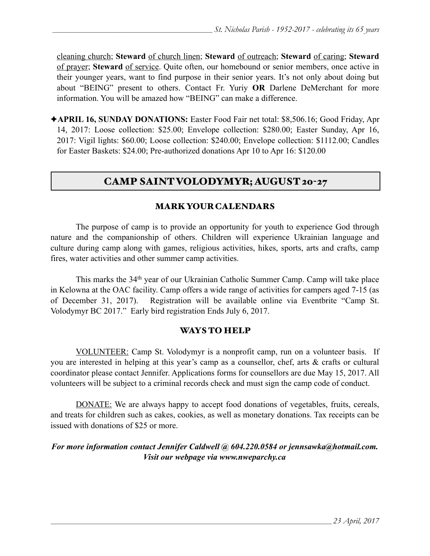cleaning church; **Steward** of church linen; **Steward** of outreach; **Steward** of caring; **Steward** of prayer; **Steward** of service. Quite often, our homebound or senior members, once active in their younger years, want to find purpose in their senior years. It's not only about doing but about "BEING" present to others. Contact Fr. Yuriy **OR** Darlene DeMerchant for more information. You will be amazed how "BEING" can make a difference.

✦**APRIL 16, SUNDAY DONATIONS:** Easter Food Fair net total: \$8,506.16; Good Friday, Apr 14, 2017: Loose collection: \$25.00; Envelope collection: \$280.00; Easter Sunday, Apr 16, 2017: Vigil lights: \$60.00; Loose collection: \$240.00; Envelope collection: \$1112.00; Candles for Easter Baskets: \$24.00; Pre-authorized donations Apr 10 to Apr 16: \$120.00

# CAMP SAINT VOLODYMYR; AUGUST 20-27

#### MARK YOUR CALENDARS

 The purpose of camp is to provide an opportunity for youth to experience God through nature and the companionship of others. Children will experience Ukrainian language and culture during camp along with games, religious activities, hikes, sports, arts and crafts, camp fires, water activities and other summer camp activities.

 This marks the 34th year of our Ukrainian Catholic Summer Camp. Camp will take place in Kelowna at the OAC facility. Camp offers a wide range of activities for campers aged 7-15 (as of December 31, 2017). Registration will be available online via Eventbrite "Camp St. Volodymyr BC 2017." Early bird registration Ends July 6, 2017.

#### WAYS TO HELP

VOLUNTEER: Camp St. Volodymyr is a nonprofit camp, run on a volunteer basis. If you are interested in helping at this year's camp as a counsellor, chef, arts & crafts or cultural coordinator please contact Jennifer. Applications forms for counsellors are due May 15, 2017. All volunteers will be subject to a criminal records check and must sign the camp code of conduct.

DONATE: We are always happy to accept food donations of vegetables, fruits, cereals, and treats for children such as cakes, cookies, as well as monetary donations. Tax receipts can be issued with donations of \$25 or more.

#### *For more information contact Jennifer Caldwell @ 604.220.0584 or <i>[jennsawka@hotmail.com.](mailto:jennsawka@hotmail.com) Visit our webpage via [www.nweparchy.ca](http://www.nweparchy.ca)*